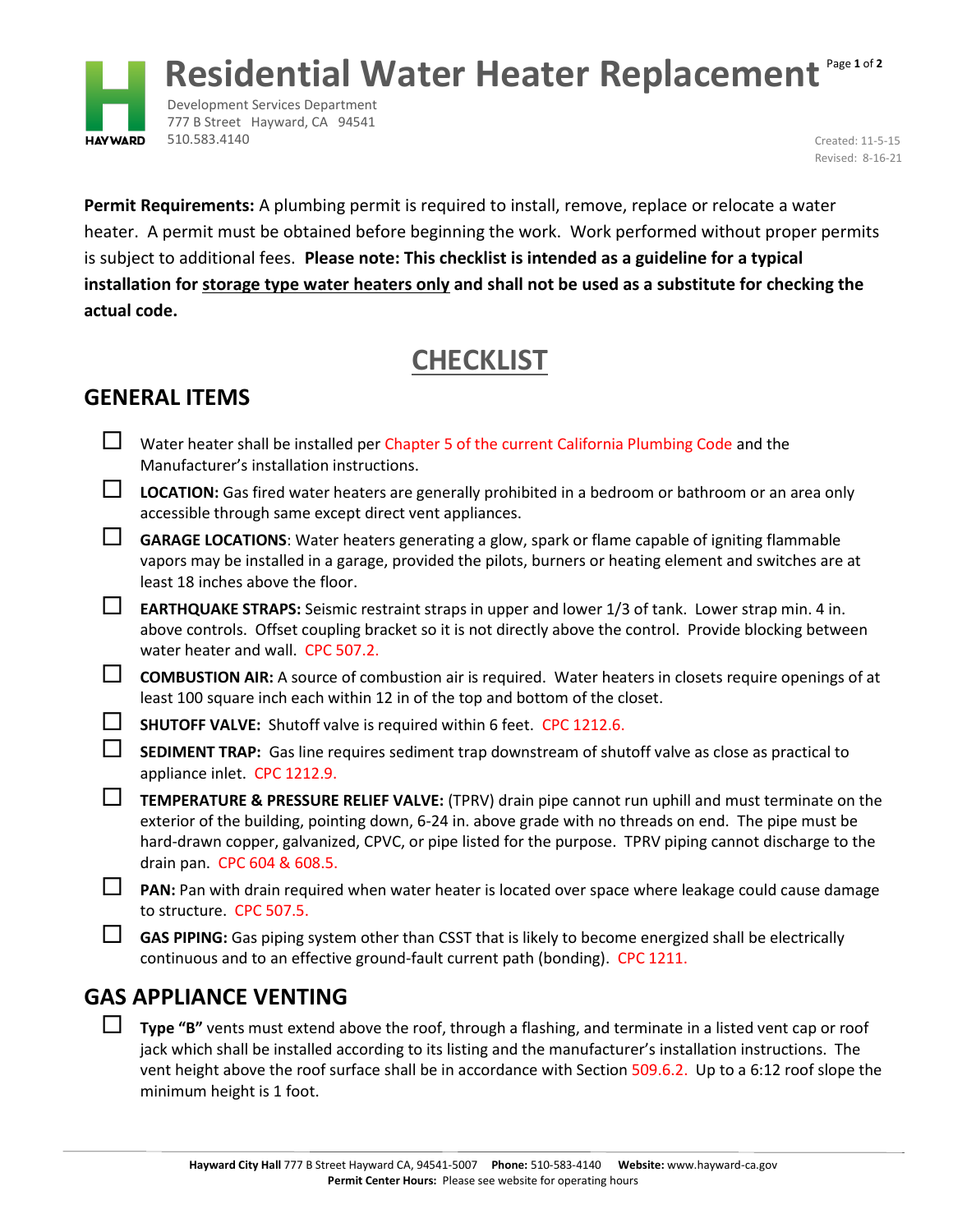

Development Services Department 777 B Street Hayward, CA 94541 510.583.4140 Created: 11-5-15

Revised: 8-16-21

**Permit Requirements:** A plumbing permit is required to install, remove, replace or relocate a water heater. A permit must be obtained before beginning the work. Work performed without proper permits is subject to additional fees. **Please note: This checklist is intended as a guideline for a typical installation for storage type water heaters only and shall not be used as a substitute for checking the actual code.**

# **CHECKLIST**

## **GENERAL ITEMS**

**HAY WARD** 

- Water heater shall be installed per Chapter 5 of the current California Plumbing Code and the Manufacturer's installation instructions.
- **LOCATION:** Gas fired water heaters are generally prohibited in a bedroom or bathroom or an area only accessible through same except direct vent appliances.
- **GARAGE LOCATIONS**: Water heaters generating a glow, spark or flame capable of igniting flammable vapors may be installed in a garage, provided the pilots, burners or heating element and switches are at least 18 inches above the floor.
- **EARTHQUAKE STRAPS:** Seismic restraint straps in upper and lower 1/3 of tank. Lower strap min. 4 in. above controls. Offset coupling bracket so it is not directly above the control. Provide blocking between water heater and wall. CPC 507.2.
- **COMBUSTION AIR:** A source of combustion air is required. Water heaters in closets require openings of at least 100 square inch each within 12 in of the top and bottom of the closet.
- **SHUTOFF VALVE:** Shutoff valve is required within 6 feet. CPC 1212.6.

**SEDIMENT TRAP:** Gas line requires sediment trap downstream of shutoff valve as close as practical to appliance inlet. CPC 1212.9.

- **TEMPERATURE & PRESSURE RELIEF VALVE:** (TPRV) drain pipe cannot run uphill and must terminate on the exterior of the building, pointing down, 6-24 in. above grade with no threads on end. The pipe must be hard-drawn copper, galvanized, CPVC, or pipe listed for the purpose. TPRV piping cannot discharge to the drain pan. CPC 604 & 608.5.
- **PAN:** Pan with drain required when water heater is located over space where leakage could cause damage to structure. CPC 507.5.
- GAS PIPING: Gas piping system other than CSST that is likely to become energized shall be electrically continuous and to an effective ground-fault current path (bonding). CPC 1211.

### **GAS APPLIANCE VENTING**

 **Type "B"** vents must extend above the roof, through a flashing, and terminate in a listed vent cap or roof jack which shall be installed according to its listing and the manufacturer's installation instructions. The vent height above the roof surface shall be in accordance with Section 509.6.2. Up to a 6:12 roof slope the minimum height is 1 foot.